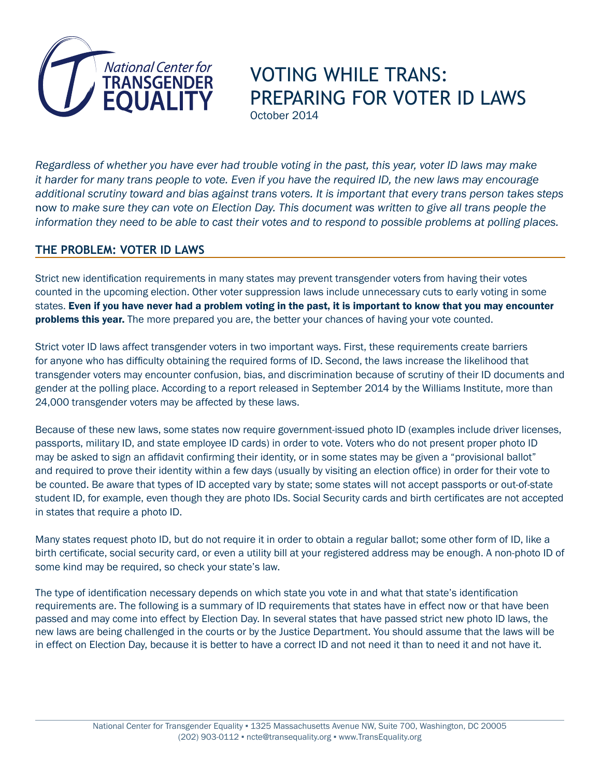

# VOTING WHILE TRANS: PREPARING FOR VOTER ID LAWS October 2014

*Regardless of whether you have ever had trouble voting in the past, this year, voter ID laws may make it harder for many trans people to vote. Even if you have the required ID, the new laws may encourage additional scrutiny toward and bias against trans voters. It is important that every trans person takes steps*  now *to make sure they can vote on Election Day. This document was written to give all trans people the information they need to be able to cast their votes and to respond to possible problems at polling places.*

# **THE PROBLEM: VOTER ID LAWS**

Strict new identification requirements in many states may prevent transgender voters from having their votes counted in the upcoming election. Other voter suppression laws include unnecessary cuts to early voting in some states. Even if you have never had a problem voting in the past, it is important to know that you may encounter **problems this year.** The more prepared you are, the better your chances of having your vote counted.

Strict voter ID laws affect transgender voters in two important ways. First, these requirements create barriers for anyone who has difficulty obtaining the required forms of ID. Second, the laws increase the likelihood that transgender voters may encounter confusion, bias, and discrimination because of scrutiny of their ID documents and gender at the polling place. According to a report released in September 2014 by the Williams Institute, more than 24,000 transgender voters may be affected by these laws.

Because of these new laws, some states now require government-issued photo ID (examples include driver licenses, passports, military ID, and state employee ID cards) in order to vote. Voters who do not present proper photo ID may be asked to sign an affidavit confirming their identity, or in some states may be given a "provisional ballot" and required to prove their identity within a few days (usually by visiting an election office) in order for their vote to be counted. Be aware that types of ID accepted vary by state; some states will not accept passports or out-of-state student ID, for example, even though they are photo IDs. Social Security cards and birth certificates are not accepted in states that require a photo ID.

Many states request photo ID, but do not require it in order to obtain a regular ballot; some other form of ID, like a birth certificate, social security card, or even a utility bill at your registered address may be enough. A non-photo ID of some kind may be required, so check your state's law.

The type of identification necessary depends on which state you vote in and what that state's identification requirements are. The following is a summary of ID requirements that states have in effect now or that have been passed and may come into effect by Election Day. In several states that have passed strict new photo ID laws, the new laws are being challenged in the courts or by the Justice Department. You should assume that the laws will be in effect on Election Day, because it is better to have a correct ID and not need it than to need it and not have it.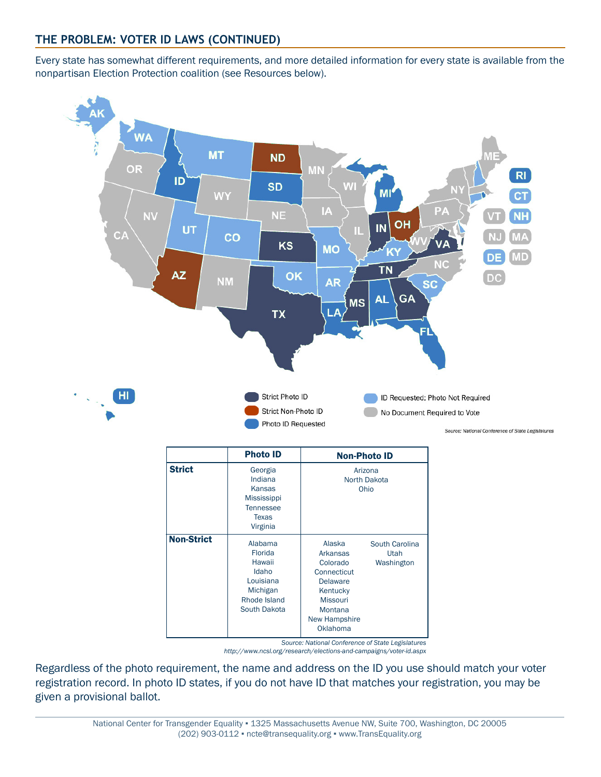# **THE PROBLEM: VOTER ID LAWS (CONTINUED)**

Every state has somewhat different requirements, and more detailed information for every state is available from the nonpartisan Election Protection coalition (see Resources below).



*http://www.ncsl.org/research/elections-and-campaigns/voter-id.aspx*

Regardless of the photo requirement, the name and address on the ID you use should match your voter registration record. In photo ID states, if you do not have ID that matches your registration, you may be given a provisional ballot.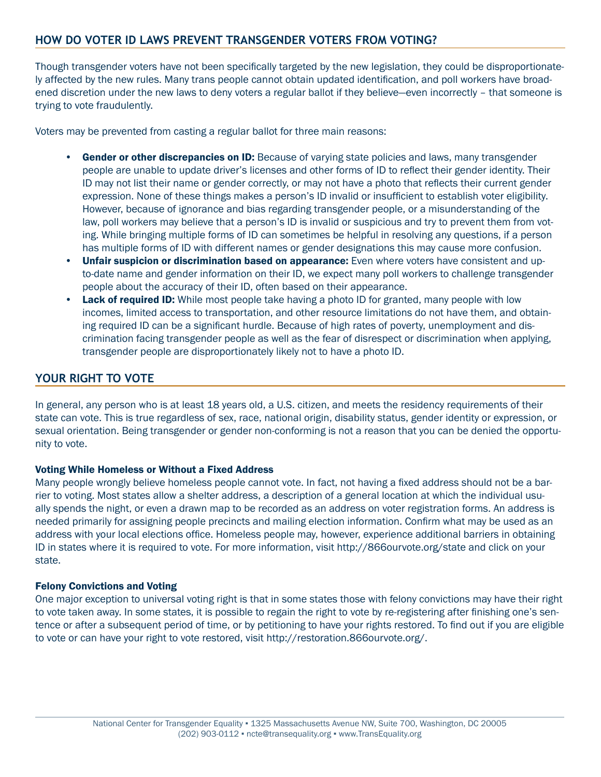# **HOW DO VOTER ID LAWS PREVENT TRANSGENDER VOTERS FROM VOTING?**

Though transgender voters have not been specifically targeted by the new legislation, they could be disproportionately affected by the new rules. Many trans people cannot obtain updated identification, and poll workers have broadened discretion under the new laws to deny voters a regular ballot if they believe—even incorrectly – that someone is trying to vote fraudulently.

Voters may be prevented from casting a regular ballot for three main reasons:

- Gender or other discrepancies on ID: Because of varying state policies and laws, many transgender people are unable to update driver's licenses and other forms of ID to reflect their gender identity. Their ID may not list their name or gender correctly, or may not have a photo that reflects their current gender expression. None of these things makes a person's ID invalid or insufficient to establish voter eligibility. However, because of ignorance and bias regarding transgender people, or a misunderstanding of the law, poll workers may believe that a person's ID is invalid or suspicious and try to prevent them from voting. While bringing multiple forms of ID can sometimes be helpful in resolving any questions, if a person has multiple forms of ID with different names or gender designations this may cause more confusion.
- **Unfair suspicion or discrimination based on appearance:** Even where voters have consistent and upto-date name and gender information on their ID, we expect many poll workers to challenge transgender people about the accuracy of their ID, often based on their appearance.
- **Lack of required ID:** While most people take having a photo ID for granted, many people with low incomes, limited access to transportation, and other resource limitations do not have them, and obtaining required ID can be a significant hurdle. Because of high rates of poverty, unemployment and discrimination facing transgender people as well as the fear of disrespect or discrimination when applying, transgender people are disproportionately likely not to have a photo ID.

### **YOUR RIGHT TO VOTE**

In general, any person who is at least 18 years old, a U.S. citizen, and meets the residency requirements of their state can vote. This is true regardless of sex, race, national origin, disability status, gender identity or expression, or sexual orientation. Being transgender or gender non-conforming is not a reason that you can be denied the opportunity to vote.

#### Voting While Homeless or Without a Fixed Address

Many people wrongly believe homeless people cannot vote. In fact, not having a fixed address should not be a barrier to voting. Most states allow a shelter address, a description of a general location at which the individual usually spends the night, or even a drawn map to be recorded as an address on voter registration forms. An address is needed primarily for assigning people precincts and mailing election information. Confirm what may be used as an address with your local elections office. Homeless people may, however, experience additional barriers in obtaining ID in states where it is required to vote. For more information, visit http://866ourvote.org/state and click on your state.

#### Felony Convictions and Voting

One major exception to universal voting right is that in some states those with felony convictions may have their right to vote taken away. In some states, it is possible to regain the right to vote by re-registering after finishing one's sentence or after a subsequent period of time, or by petitioning to have your rights restored. To find out if you are eligible to vote or can have your right to vote restored, visit http://restoration.866ourvote.org/.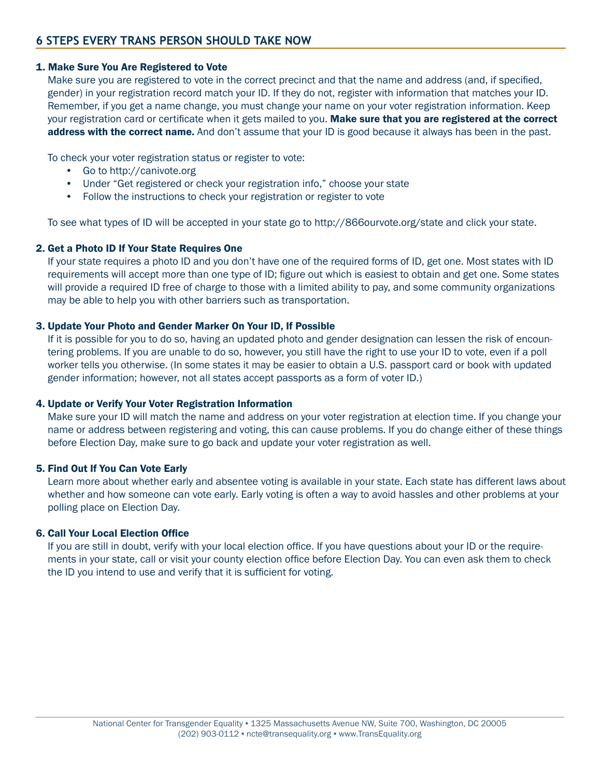#### 1. Make Sure You Are Registered to Vote

Make sure you are registered to vote in the correct precinct and that the name and address (and, if specified, gender) in your registration record match your ID. If they do not, register with information that matches your ID. Remember, if you get a name change, you must change your name on your voter registration information. Keep your registration card or certificate when it gets mailed to you. Make sure that you are registered at the correct address with the correct name. And don't assume that your ID is good because it always has been in the past.

To check your voter registration status or register to vote:

- Go to http://canivote.org
- Under "Get registered or check your registration info," choose your state
- Follow the instructions to check your registration or register to vote

To see what types of ID will be accepted in your state go to http://866ourvote.org/state and click your state.

#### 2. Get a Photo ID If Your State Requires One

If your state requires a photo ID and you don't have one of the required forms of ID, get one. Most states with ID requirements will accept more than one type of ID; figure out which is easiest to obtain and get one. Some states will provide a required ID free of charge to those with a limited ability to pay, and some community organizations may be able to help you with other barriers such as transportation.

#### 3. Update Your Photo and Gender Marker On Your ID, If Possible

If it is possible for you to do so, having an updated photo and gender designation can lessen the risk of encountering problems. If you are unable to do so, however, you still have the right to use your ID to vote, even if a poll worker tells you otherwise. (In some states it may be easier to obtain a U.S. passport card or book with updated gender information; however, not all states accept passports as a form of voter ID.)

#### 4. Update or Verify Your Voter Registration Information

Make sure your ID will match the name and address on your voter registration at election time. If you change your name or address between registering and voting, this can cause problems. If you do change either of these things before Election Day, make sure to go back and update your voter registration as well.

#### 5. Find Out If You Can Vote Early

Learn more about whether early and absentee voting is available in your state. Each state has different laws about whether and how someone can vote early. Early voting is often a way to avoid hassles and other problems at your polling place on Election Day.

#### 6. Call Your Local Election Office

If you are still in doubt, verify with your local election office. If you have questions about your ID or the requirements in your state, call or visit your county election office before Election Day. You can even ask them to check the ID you intend to use and verify that it is sufficient for voting.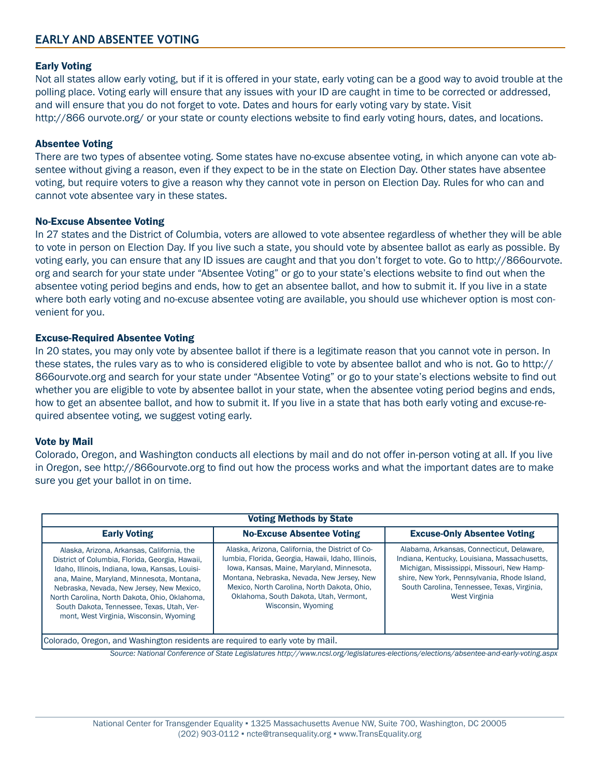### **EARLY AND ABSENTEE VOTING**

#### Early Voting

Not all states allow early voting, but if it is offered in your state, early voting can be a good way to avoid trouble at the polling place. Voting early will ensure that any issues with your ID are caught in time to be corrected or addressed, and will ensure that you do not forget to vote. Dates and hours for early voting vary by state. Visit http://866 ourvote.org/ or your state or county elections website to find early voting hours, dates, and locations.

#### Absentee Voting

There are two types of absentee voting. Some states have no-excuse absentee voting, in which anyone can vote absentee without giving a reason, even if they expect to be in the state on Election Day. Other states have absentee voting, but require voters to give a reason why they cannot vote in person on Election Day. Rules for who can and cannot vote absentee vary in these states.

#### No-Excuse Absentee Voting

In 27 states and the District of Columbia, voters are allowed to vote absentee regardless of whether they will be able to vote in person on Election Day. If you live such a state, you should vote by absentee ballot as early as possible. By voting early, you can ensure that any ID issues are caught and that you don't forget to vote. Go to http://866ourvote. org and search for your state under "Absentee Voting" or go to your state's elections website to find out when the absentee voting period begins and ends, how to get an absentee ballot, and how to submit it. If you live in a state where both early voting and no-excuse absentee voting are available, you should use whichever option is most convenient for you.

#### Excuse-Required Absentee Voting

In 20 states, you may only vote by absentee ballot if there is a legitimate reason that you cannot vote in person. In these states, the rules vary as to who is considered eligible to vote by absentee ballot and who is not. Go to http:// 866ourvote.org and search for your state under "Absentee Voting" or go to your state's elections website to find out whether you are eligible to vote by absentee ballot in your state, when the absentee voting period begins and ends, how to get an absentee ballot, and how to submit it. If you live in a state that has both early voting and excuse-required absentee voting, we suggest voting early.

#### Vote by Mail

Colorado, Oregon, and Washington conducts all elections by mail and do not offer in-person voting at all. If you live in Oregon, see http://866ourvote.org to find out how the process works and what the important dates are to make sure you get your ballot in on time.

| <b>Voting Methods by State</b>                                                                                                                                                                                                                                                                                                                                                       |                                                                                                                                                                                                                                                                                                                  |                                                                                                                                                                                                                                                                |
|--------------------------------------------------------------------------------------------------------------------------------------------------------------------------------------------------------------------------------------------------------------------------------------------------------------------------------------------------------------------------------------|------------------------------------------------------------------------------------------------------------------------------------------------------------------------------------------------------------------------------------------------------------------------------------------------------------------|----------------------------------------------------------------------------------------------------------------------------------------------------------------------------------------------------------------------------------------------------------------|
| <b>Early Voting</b>                                                                                                                                                                                                                                                                                                                                                                  | <b>No-Excuse Absentee Voting</b>                                                                                                                                                                                                                                                                                 | <b>Excuse-Only Absentee Voting</b>                                                                                                                                                                                                                             |
| Alaska, Arizona, Arkansas, California, the<br>District of Columbia, Florida, Georgia, Hawaii,<br>Idaho, Illinois, Indiana, Iowa, Kansas, Louisi-<br>ana, Maine, Maryland, Minnesota, Montana,<br>Nebraska, Nevada, New Jersey, New Mexico,<br>North Carolina, North Dakota, Ohio, Oklahoma,<br>South Dakota, Tennessee, Texas, Utah, Ver-<br>mont, West Virginia, Wisconsin, Wyoming | Alaska, Arizona, California, the District of Co-<br>lumbia, Florida, Georgia, Hawaii, Idaho, Illinois,<br>Iowa, Kansas, Maine, Maryland, Minnesota,<br>Montana, Nebraska, Nevada, New Jersey, New<br>Mexico, North Carolina, North Dakota, Ohio.<br>Oklahoma, South Dakota, Utah, Vermont,<br>Wisconsin, Wyoming | Alabama, Arkansas, Connecticut, Delaware,<br>Indiana, Kentucky, Louisiana, Massachusetts,<br>Michigan, Mississippi, Missouri, New Hamp-<br>shire, New York, Pennsylvania, Rhode Island,<br>South Carolina, Tennessee, Texas, Virginia,<br><b>West Virginia</b> |
| Colorado, Oregon, and Washington residents are required to early vote by mail.                                                                                                                                                                                                                                                                                                       |                                                                                                                                                                                                                                                                                                                  |                                                                                                                                                                                                                                                                |

*Source: National Conference of State Legislatures http://www.ncsl.org/legislatures-elections/elections/absentee-and-early-voting.aspx*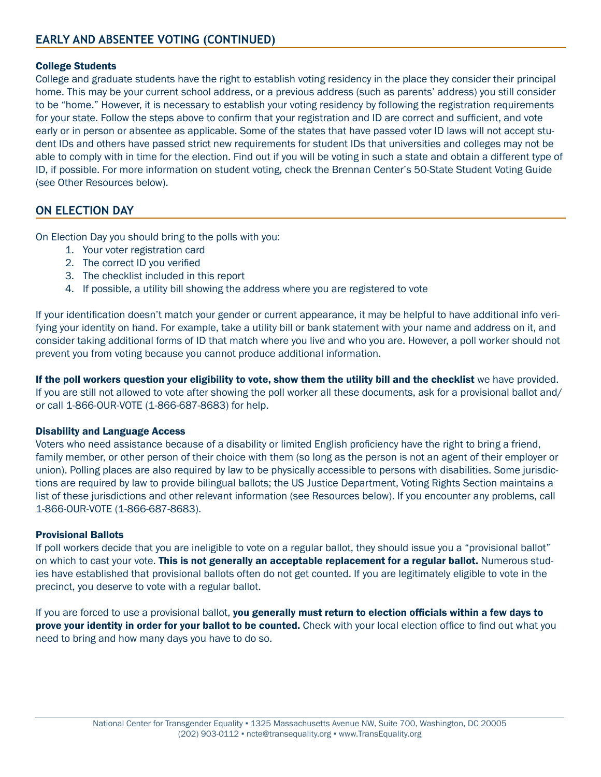#### College Students

College and graduate students have the right to establish voting residency in the place they consider their principal home. This may be your current school address, or a previous address (such as parents' address) you still consider to be "home." However, it is necessary to establish your voting residency by following the registration requirements for your state. Follow the steps above to confirm that your registration and ID are correct and sufficient, and vote early or in person or absentee as applicable. Some of the states that have passed voter ID laws will not accept student IDs and others have passed strict new requirements for student IDs that universities and colleges may not be able to comply with in time for the election. Find out if you will be voting in such a state and obtain a different type of ID, if possible. For more information on student voting, check the Brennan Center's 50-State Student Voting Guide (see Other Resources below).

# **ON ELECTION DAY**

On Election Day you should bring to the polls with you:

- 1. Your voter registration card
- 2. The correct ID you verified
- 3. The checklist included in this report
- 4. If possible, a utility bill showing the address where you are registered to vote

If your identification doesn't match your gender or current appearance, it may be helpful to have additional info verifying your identity on hand. For example, take a utility bill or bank statement with your name and address on it, and consider taking additional forms of ID that match where you live and who you are. However, a poll worker should not prevent you from voting because you cannot produce additional information.

If the poll workers question your eligibility to vote, show them the utility bill and the checklist we have provided. If you are still not allowed to vote after showing the poll worker all these documents, ask for a provisional ballot and/ or call 1-866-OUR-VOTE (1-866-687-8683) for help.

#### Disability and Language Access

Voters who need assistance because of a disability or limited English proficiency have the right to bring a friend, family member, or other person of their choice with them (so long as the person is not an agent of their employer or union). Polling places are also required by law to be physically accessible to persons with disabilities. Some jurisdictions are required by law to provide bilingual ballots; the US Justice Department, Voting Rights Section maintains a list of these jurisdictions and other relevant information (see Resources below). If you encounter any problems, call 1-866-OUR-VOTE (1-866-687-8683).

#### Provisional Ballots

If poll workers decide that you are ineligible to vote on a regular ballot, they should issue you a "provisional ballot" on which to cast your vote. This is not generally an acceptable replacement for a regular ballot. Numerous studies have established that provisional ballots often do not get counted. If you are legitimately eligible to vote in the precinct, you deserve to vote with a regular ballot.

If you are forced to use a provisional ballot, you generally must return to election officials within a few days to prove your identity in order for your ballot to be counted. Check with your local election office to find out what you need to bring and how many days you have to do so.